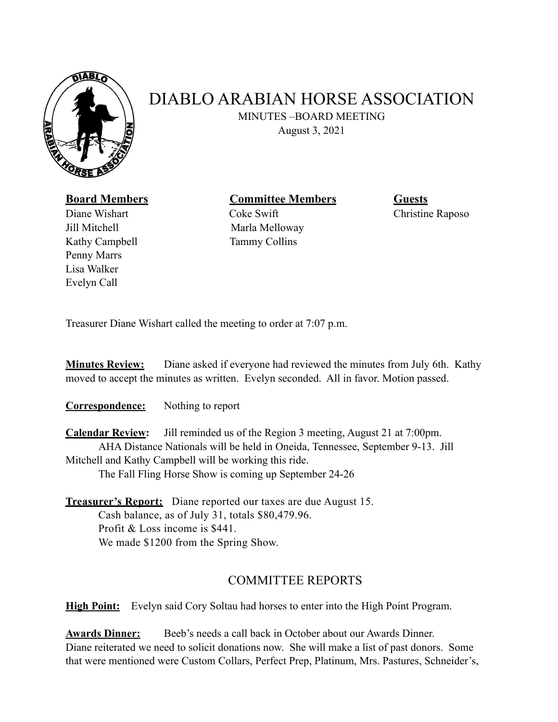

## DIABLO ARABIAN HORSE ASSOCIATION

MINUTES –BOARD MEETING

August 3, 2021

## **Board Members Committee Members Guests**

Jill Mitchell Marla Melloway Kathy Campbell Tammy Collins Penny Marrs Lisa Walker Evelyn Call

Diane Wishart **Coke Swift** Coke Swift Christine Raposo

Treasurer Diane Wishart called the meeting to order at 7:07 p.m.

**Minutes Review:** Diane asked if everyone had reviewed the minutes from July 6th. Kathy moved to accept the minutes as written. Evelyn seconded. All in favor. Motion passed.

**Correspondence:** Nothing to report

**Calendar Review:** Jill reminded us of the Region 3 meeting, August 21 at 7:00pm. AHA Distance Nationals will be held in Oneida, Tennessee, September 9-13. Jill Mitchell and Kathy Campbell will be working this ride. The Fall Fling Horse Show is coming up September 24-26

**Treasurer's Report:** Diane reported our taxes are due August 15. Cash balance, as of July 31, totals \$80,479.96. Profit & Loss income is \$441. We made \$1200 from the Spring Show.

## COMMITTEE REPORTS

**High Point:** Evelyn said Cory Soltau had horses to enter into the High Point Program.

**Awards Dinner:** Beeb's needs a call back in October about our Awards Dinner. Diane reiterated we need to solicit donations now. She will make a list of past donors. Some that were mentioned were Custom Collars, Perfect Prep, Platinum, Mrs. Pastures, Schneider's,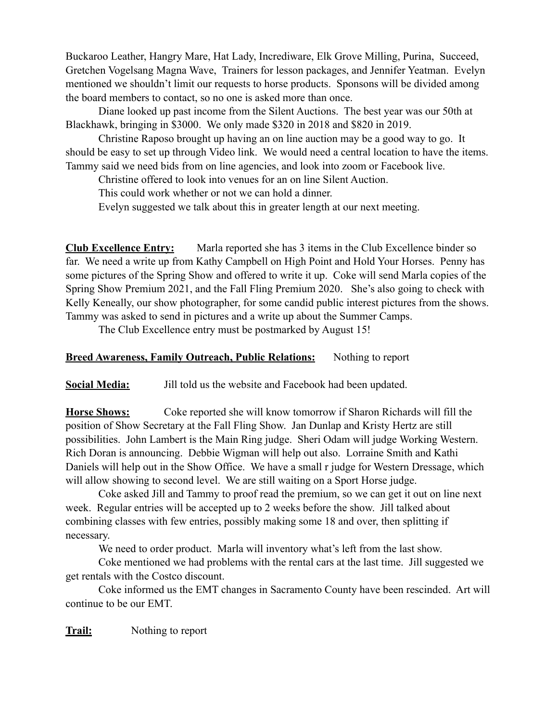Buckaroo Leather, Hangry Mare, Hat Lady, Incrediware, Elk Grove Milling, Purina, Succeed, Gretchen Vogelsang Magna Wave, Trainers for lesson packages, and Jennifer Yeatman. Evelyn mentioned we shouldn't limit our requests to horse products. Sponsons will be divided among the board members to contact, so no one is asked more than once.

 Diane looked up past income from the Silent Auctions. The best year was our 50th at Blackhawk, bringing in \$3000. We only made \$320 in 2018 and \$820 in 2019.

 Christine Raposo brought up having an on line auction may be a good way to go. It should be easy to set up through Video link. We would need a central location to have the items. Tammy said we need bids from on line agencies, and look into zoom or Facebook live.

Christine offered to look into venues for an on line Silent Auction.

This could work whether or not we can hold a dinner.

Evelyn suggested we talk about this in greater length at our next meeting.

**Club Excellence Entry:** Marla reported she has 3 items in the Club Excellence binder so far. We need a write up from Kathy Campbell on High Point and Hold Your Horses. Penny has some pictures of the Spring Show and offered to write it up. Coke will send Marla copies of the Spring Show Premium 2021, and the Fall Fling Premium 2020. She's also going to check with Kelly Keneally, our show photographer, for some candid public interest pictures from the shows. Tammy was asked to send in pictures and a write up about the Summer Camps.

The Club Excellence entry must be postmarked by August 15!

## **Breed Awareness, Family Outreach, Public Relations:** Nothing to report

**Social Media:** Jill told us the website and Facebook had been updated.

**Horse Shows:** Coke reported she will know tomorrow if Sharon Richards will fill the position of Show Secretary at the Fall Fling Show. Jan Dunlap and Kristy Hertz are still possibilities. John Lambert is the Main Ring judge. Sheri Odam will judge Working Western. Rich Doran is announcing. Debbie Wigman will help out also. Lorraine Smith and Kathi Daniels will help out in the Show Office. We have a small r judge for Western Dressage, which will allow showing to second level. We are still waiting on a Sport Horse judge.

 Coke asked Jill and Tammy to proof read the premium, so we can get it out on line next week. Regular entries will be accepted up to 2 weeks before the show. Jill talked about combining classes with few entries, possibly making some 18 and over, then splitting if necessary.

We need to order product. Marla will inventory what's left from the last show.

 Coke mentioned we had problems with the rental cars at the last time. Jill suggested we get rentals with the Costco discount.

 Coke informed us the EMT changes in Sacramento County have been rescinded. Art will continue to be our EMT.

**Trail:** Nothing to report